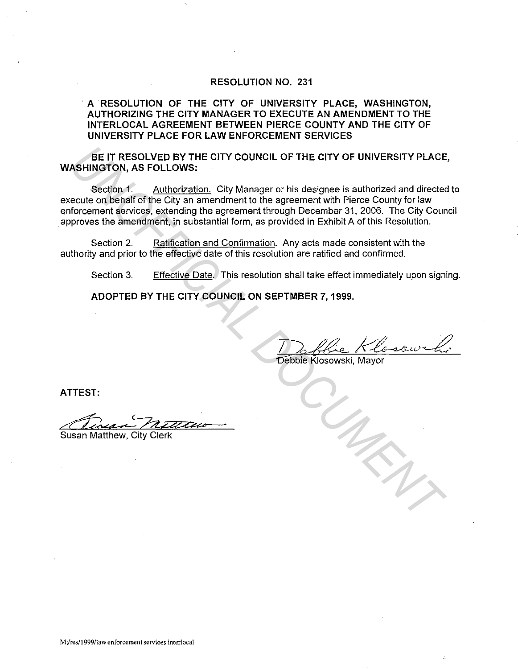### **RESOLUTION NO. 231**

### · **A RESOLUTION OF THE CITY OF UNIVERSITY PLACE, WASHINGTON, AUTHORIZING THE CITY MANAGER TO EXECUTE AN AMENDMENT TO THE INTERLOCAL AGREEMENT BETWEEN PIERCE COUNTY AND THE CITY OF UNIVERSITY PLACE FOR LAW ENFORCEMENT SERVICES**

**BE IT RESOLVED BY THE CITY COUNCIL OF THE CITY OF UNIVERSITY PLACE, WASHINGTON, AS FOLLOWS:** 

Section 1. Authorization. City Manager or his designee is authorized and directed to execute on behalf of the City an amendment to the agreement with Pierce County for law enforcement services, extending the agreement through December 31, 2006. The City Council approves the amendment, in substantial form, as provided in Exhibit A of this Resolution. **UNITERESOLVED BY THE CITY COUNCIL OF THE CITY OF UNIVERSITY PLACE<br>
SERINGTON, AS FOLLOWS:**<br>
Section 1. Authorization, City Manager or his designee is authorized and directed<br>
cause on behalf of the City an amendment to th

Section 2. Ratification and Confirmation. Any acts made consistent with the authority and prior to the effective date of this resolution are ratified and confirmed.

Section 3. Effective Date. This resolution shall take effect immediately upon signing.

**ADOPTED BY THE CITY COUNCIL ON SEPTMBER 7, 1999.** 

. 1) ) / fie Kloscur

**ATTEST:** 

Tossan Miller

**Susan Matthew, City Clerk**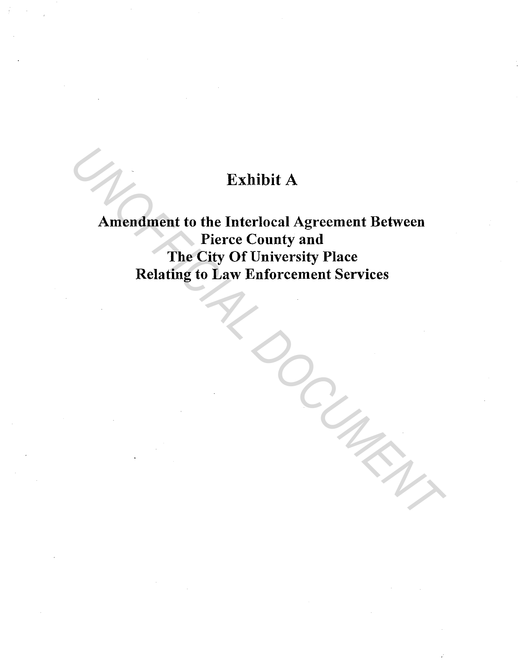# Exhibit A

Amendment to the Interlocal Agreement Between Pierce County and The City Of University Place Relating to Law Enforcement Services Exhibit A<br>
Amendment to the Interlocal Agreement Between<br>
Pierce County and<br>
The City Of University Place<br>
Relating to Law Enforcement Services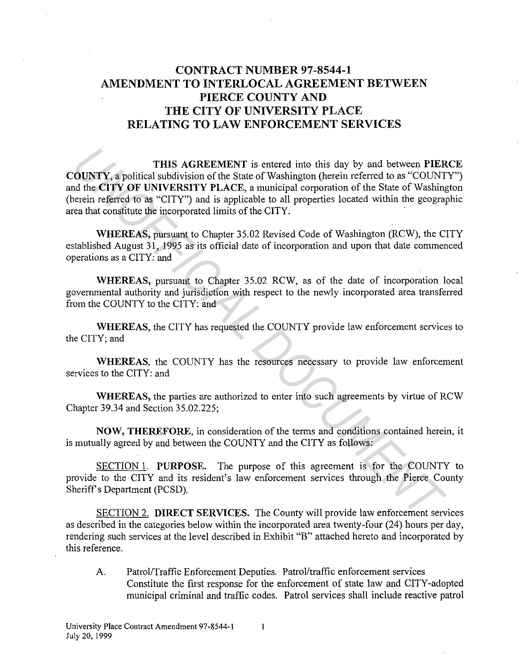## **CONTRACT NUMBER 97-8544-1 AMENDMENT TO INTERLOCAL AGREEMENT BETWEEN PIERCE COUNTY AND THE CITY OF UNIVERSITY PLACE RELATING TO LAW ENFORCEMENT SERVICES**

**THIS AGREEMENT** is entered into this day by and between **PIERCE COUNTY,** a political subdivision of the State of Washington (herein referred to as "COUNTY") and the **CITY OF UNIVERSITY PLACE,** a municipal corporation of the State of Washington (herein referred to as "CITY") and is applicable to all properties located within the geographic area that constitute the incorporated limits of the CITY. **THIS AGREEMENT** is entered into this day by and between **PIER**<br> **UNISTY, a political subdivision of the State of Washington (herein referred to as "COUNT<br>
due CITY OF UNIVERENTY PLACE, a municipal corporation of the State** 

**WHEREAS,** pursuant to Chapter 35.02 Revised Code of Washington (RCW), the CITY established August 31, 1995 as its official date of incorporation and upon that date commenced operations as a CITY: and

**WHEREAS,** pursuant to Chapter 35.02 RCW, as of the date of incorporation local governmental authority and jurisdiction with respect to the newly incorporated area transferred from the COUNTY to the CITY: and

**WHEREAS,** the CITY has requested the COUNTY provide law enforcement services to the CITY; and

**WHEREAS,** the COUNTY has the resources necessary to provide law enforcement services to the CITY: and

**WHEREAS,** the parties are authorized to enter into such agreements by virtue of RCW Chapter 39.34 and Section 35.02.225;

**NOW, THEREFORE,** in consideration of the terms and conditions contained herein, it is mutually agreed by and between the COUNTY and the CITY as follows:

SECTION 1. **PURPOSE.** The purpose of this agreement is for the COUNTY to provide to the CITY and its resident's law enforcement services through the Pierce County Sheriff's Department (PCSD).

SECTION 2. **DIRECT SERVICES.** The County will provide law enforcement services as described in the categories below within the incorporated area twenty-four (24) hours per day, rendering such services at the level described in Exhibit "B" attached hereto and incorporated by this reference.

A. Patrol/Traffic Enforcement Deputies. Patrol/traffic enforcement services Constitute the first response for the enforcement of state law and CITY-adopted municipal criminal and traffic codes. Patrol services shall include reactive patrol

 $\mathbf{1}$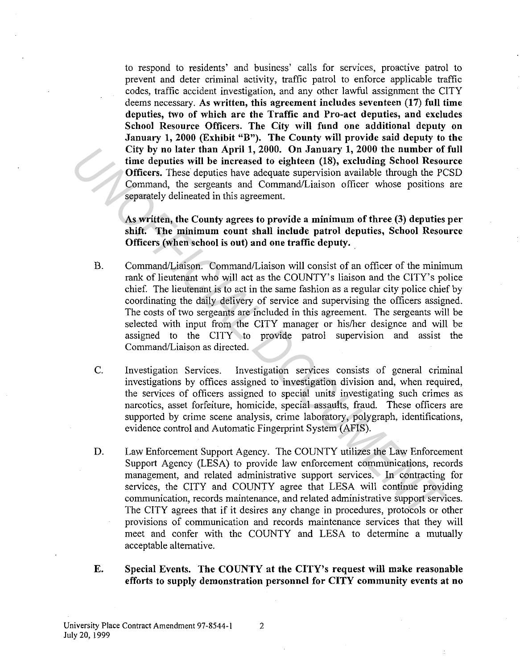to respond to residents' and business' calls for services, proactive patrol to prevent and deter criminal activity, traffic patrol to enforce applicable traffic codes, traffic accident investigation, and any other lawful assignment the CITY deems necessary. As written, this agreement includes seventeen (17) full time deputies, two of which are the Traffic and Pro-act deputies, and excludes School Resource Officers. The City will fund one additional deputy on January 1, 2000 (Exhibit "B"). The County will provide said deputy to the City by no later than April 1, 2000. On January 1, 2000 the number of full time deputies will be increased to eighteen (18), excluding School Resource Officers. These deputies have adequate supervision available through the PCSD Command, the sergeants and Command/Liaison officer whose positions are separately delineated in this agreement.

As written, the County agrees to provide a minimum of three (3) deputies per shift. The minimum count shall include patrol deputies, School Resource Officers (when school is out) and one traffic deputy ..

- B. Command/Liaison. Command/Liaison will consist of an officer of the minimum rank of lieutenant who will act as the COUNTY's liaison and the CITY's police chief. The lieutenant is to act in the same fashion as a regular city police chief by coordinating the daily delivery of service and supervising the officers assigned. The costs of two sergeants are included in this agreement. The sergeants will be selected with input from the CITY manager or his/her designee and will be assigned to the CITY to provide patrol supervision and assist the Command/Liaison as directed. City by no later than April 1, 2000. On January 1, 2000 the number of<br>
ime deputies will be increased to eighteen (18), excluding School Resourcines. These deputies have adequate supervision available through the PC comman
	- C. Investigation Services. Investigation services consists of general criminal investigations by offices assigned to investigation division and, when required, the services of officers assigned to special units investigating such crimes as narcotics, asset forfeiture, homicide, special assaults, fraud. These officers are supported by crime scene analysis, crime laboratory, polygraph, identifications, evidence control and Automatic Fingerprint System (AFIS).
	- D. Law Enforcement Support Agency. The COUNTY utilizes the Law Enforcement Support Agency (LESA) to provide law enforcement communications, records management, and related administrative support services. In contracting for services, the CITY and COUNTY agree that LESA will continue providing communication, records maintenance, and related administrative support services. The CITY agrees that if it desires any change in procedures, protocols or other provisions of communication and records maintenance services that they will meet and confer with the COUNTY and LESA to determine a mutually acceptable alternative.
	- E. Special Events. The COUNTY at the CITY's request will make reasonable efforts to supply demonstration personnel for CITY community events at no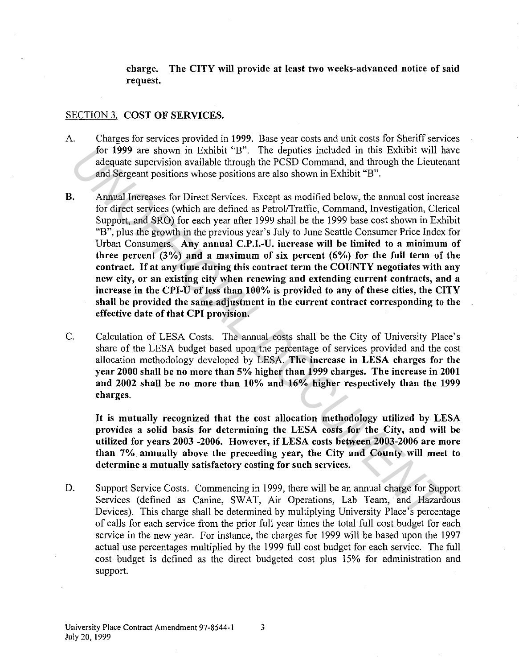charge. The CITY will provide at least two weeks-advanced notice of said request.

#### SECTION 3. COST OF SERVICES.

- A. Charges for services provided in 1999. Base year costs and unit costs for Sheriff services for 1999 are shown in Exhibit "B". The deputies included in this Exhibit will have adequate supervision available through the PCSD Command, and through the Lieutenant and Sergeant positions whose positions are also shown in Exhibit "B".
- B. Annual Increases for Direct Services. Except as modified below, the annual cost increase for direct services (which are defined as Patrol/Traffic, Command, Investigation, Clerical Support, and SRO) for each year after 1999 shall be the 1999 base cost shown in Exhibit "B", plus the growth in the previous year's July to June Seattle Consumer Price Index for Urban Consumers. Any annual C.P.I.-U. increase will be limited to a minimum of three percent  $(3\%)$  and a maximum of six percent  $(6\%)$  for the full term of the contract. If at any time during this contract term the COUNTY negotiates with any new city, or an existing city when renewing and extending current contracts, and a increase in the CPI-U of less than 100% is provided to any of these cities, the CITY shall be provided the same adjustment in the current contract corresponding to the effective date of that CPI provision. **En 1999 are shown in Exhibit "F3".** The deputies included in this Exhibit will halo endow are shown in Exhibit ("B". Annual Interests for Direct Services. Except as modified below, the annual cost incered for direct serv
- C. Calculation of LESA Costs. The annual costs shall be the City of University Place's share of the LESA budget based upon the percentage of services provided and the cost allocation methodology developed by LESA. The increase in LESA charges for the year 2000 shall be no more than 5% higher than 1999 charges. The increase in 2001 and 2002 shall be no more than 10% and 16% higher respectively than the 1999 charges.

It is mutually recognized that the cost allocation methodology utilized by LESA provides a solid basis for determining the LESA costs for the City, and will be utilized for years 2003 -2006. However, if LESA costs between 2003-2006 are more than 7%. annually above the preceeding year, the City and County will meet to determine a mutually satisfactory costing for such services.

D. Support Service Costs. Commencing in 1999, there will be an annual charge for Support Services (defined as Canine, SWAT, Air Operations, Lab Team, and Hazardous Devices). This charge shall be determined by multiplying University Place's percentage of calls for each service from the prior full year times the total full cost budget for each service in the new year. For instance, the charges for 1999 will be based upon the 1997 actual use percentages multiplied by the 1999 full cost budget for each service. The full cost budget is defined as the direct budgeted cost plus 15% for administration and support.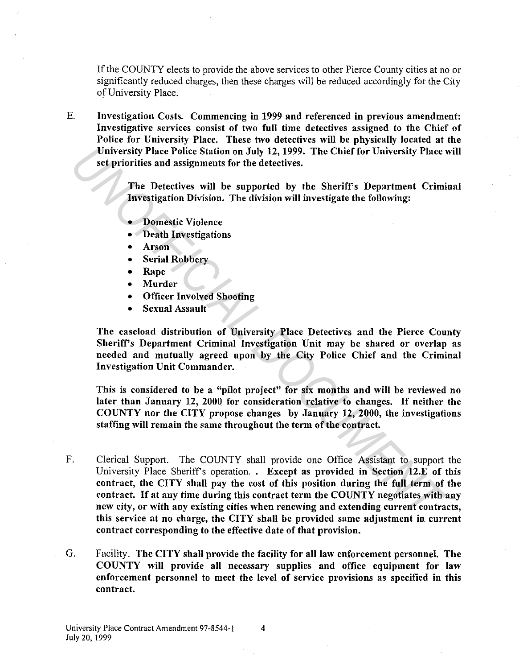If the COUNTY elects to provide the above services to other Pierce County cities at no or significantly reduced charges, then these charges will be reduced accordingly for the City of University Place.

E. Investigation Costs. Commencing in 1999 and referenced in previous amendment: Investigative services consist of two full time detectives assigned to the Chief of Police for University Place. These two detectives will be physically located at the University Place Police Station on July 12, 1999. The Chief for University Place will set priorities and assignments for the detectives.

> The Detectives will be supported by the Sheriff's Department Criminal Investigation Division. The division will investigate the following:

- Domestic Violence
- Death Investigations
- Arson
- **Serial Robbery**
- Rape
- **Murder**
- Officer Involved Shooting
- Sexual Assault

The caseload distribution of University Place Detectives and the Pierce County Sheriff's Department Criminal Investigation Unit may be shared or overlap as needed and mutually agreed upon by the City Police Chief and the Criminal Investigation Unit Commander.

This is considered to be a "pilot project" for six months and will be reviewed no later than January 12, 2000 for consideration relative to changes. If neither the COUNTY nor the CITY propose changes by January 12, 2000, the investigations staffing will remain the same throughout the term of the contract.

- F. Clerical Support. The COUNTY shall provide one Office Assistant to support the University Place Sheriff's operation. . Except as provided in Section 12.E of this contract, the CITY shall pay the cost of this position during the full term of the contract. If at any time during this contract term the COUNTY negotiates with any new city, or with any existing cities when renewing and extending current contracts, this service at no charge, the CITY shall be provided same adjustment in current contract corresponding to the effective date of that provision. *University Place Police Station on July 12, 1999. The Chief for University Place<br>
set priorities and assignments for the detectives.<br>
The Detectives will be supported by the Sheriff's Department Crimi<br> The Detectives wil*
- G. Facility. The CITY shall provide the facility for all law enforcement personnel. The COUNTY will provide all necessary supplies and office equipment for law enforcement personnel to meet the level of service provisions as specified in this contract.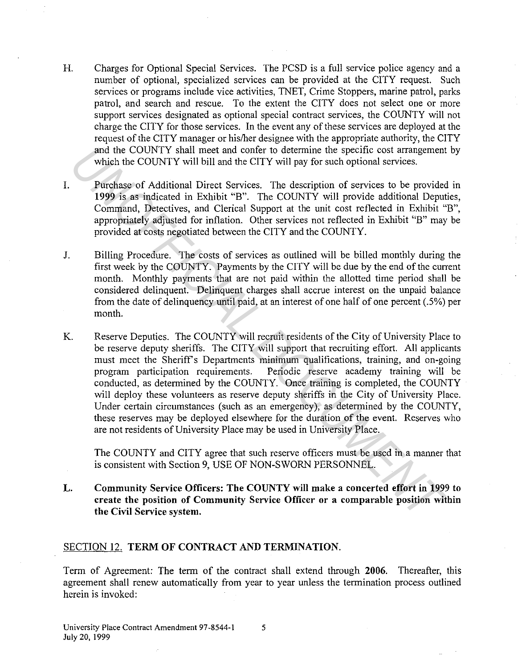- H. Charges for Optional Special Services. The PCSD is a full service police agency and a number of optional, specialized services can be provided at the CITY request. Such services or programs include vice activities, TNET, Crime Stoppers, marine patrol, parks patrol, and search and rescue. To the extent the CITY does not select one or more support services designated as optional special contract services, the COUNTY will not charge the CITY for those services. In the event any of these services are deployed at the request of the CITY manager or his/her designee with the appropriate authority, the CITY and the COUNTY shall meet and confer to determine the specific cost arrangement by which the COUNTY will bill and the CITY will pay for such optional services.
- I. Purchase of Additional Direct Services. The description of services to be provided in **1999** is as indicated in Exhibit "B". The COUNTY will provide additional Deputies, Command, Detectives, and Clerical Support at the unit cost reflected in Exhibit "B", appropriately adjusted for inflation. Other services not reflected in Exhibit "B" may be provided at costs negotiated between the CITY and the COUNTY.
- J. Billing Procedure. The costs of services as outlined will be billed monthly during the first week by the COUNTY. Payments by the CITY will be due by the end of the current month. Monthly payments that are not paid within the allotted time period shall be considered delinquent. Delinquent charges shall accrue interest on the unpaid balance from the date of delinquency until paid, at an interest of one half of one percent (.5%) per month.
- K. Reserve Deputies. The COUNTY will recruit residents of the City of University Place to be reserve deputy sheriffs. The CITY will support that recruiting effort. All applicants must meet the Sheriff's Departments minimum qualifications, training, and on-going program participation requirements. Periodic reserve academy training will be conducted, as determined by the COUNTY. Once training is completed, the COUNTY will deploy these volunteers as reserve deputy sheriffs in the City of University Place. Under certain circumstances (such as an emergency), as determined by the COUNTY, these reserves may be deployed elsewhere for the duration of the event. Reserves who are not residents of University Place may be used in University Place. and the COUNTY shall meet and confer to determine the specific cost arrangement<br>
which the COUNTY will bill and the CITY will pay for such optional services.<br>
Purchase of Additional Direct Services. The eScription of servi

The COUNTY and CITY agree that such reserve officers must be used in a manner that is consistent with Section 9, USE OF NON-SWORN PERSONNEL

**L. Community Service Officers: The COUNTY will make a concerted effort in 1999 to create the position of Community Service Officer or a comparable position within the Civil Service system.** 

### SECTION 12. **TERM OF CONTRACT AND TERMINATION.**

Term of Agreement: The term of the contract shall extend through **2006.** Thereafter, this agreement shall renew automatically from year to year unless the termination process outlined herein is invoked: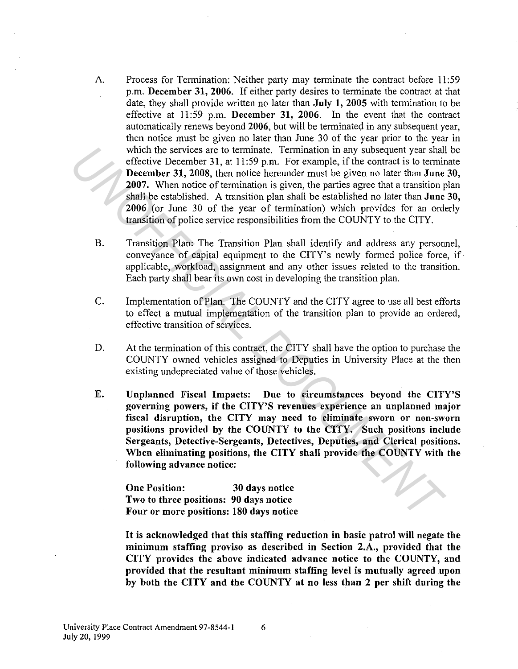- A. Process for Termination: Neither party may terminate the contract before 11 :59 p.m. December 31, 2006. If either party desires to terminate the contract at that date, they shall provide written no later than July 1, 2005 with termination to be effective at 11:59 p.m. December 31, 2006. In the event that the contract automatically renews beyond 2006, but will be terminated in any subsequent year, then notice must be given no later than June 30 of the year prior to the year in which the services are to terminate. Termination in any subsequent year shall be effective December 31, at  $11:59$  p.m. For example, if the contract is to terminate December 31, 2008, then notice hereunder must be given no later than June 30, 2007. When notice of termination is given, the parties agree that a transition plan shall be established. A transition plan shall be established no later than June 30, 2006 (or June 30 of the year of termination) which provides for an orderly transition of police service responsibilities from the COUNTY to.the CITY. which the services are to terminate. Termination in any subsequent year shall be contract is the contract is the minimation of termination is given, the partical state and the set starting December 31, 2008, then notice be
	- B. Transition Plan: The Transition Plan shall identify and address any personnel, conveyance of capital equipment to the CITY's newly formed police force, if applicable, workload, assignment and any other issues related to the transition. Each party shall bear its own cost in developing the transition plan.
	- C. Implementation of Plan. The COUNTY and the CITY agree to use all best efforts to effect a mutual implementation of the transition plan to provide an ordered, effective transition of services.
	- D. At the termination of this contract, the CITY shall have the option to purchase the COUNTY owned vehicles assigned to Deputies in University Place at the then existing undepreciated value of those vehicles.
	- E. Unplanned Fiscal Impacts: Due to circumstances beyond the CITY'S governing powers, if the CITY'S revenues experience an unplanned major fiscal disruption, the CITY may need to eliminate sworn or non-sworn positions provided by the COUNTY to the CITY. Such positions include Sergeants, Detective-Sergeants, Detectives, Deputies, and Clerical positions. When eliminating positions, the CITY shall provide the COUNTY with the following advance notice:

One Position: 30 days notice Two to three positions: 90 days notice Four or more positions: 180 days notice

It is acknowledged that this staffing reduction in basic patrol will negate the minimum staffing proviso as described in Section 2.A., provided that the CITY provides the above indicated advance notice to the COUNTY, and provided that the resultant minimum staffing level is mutually agreed upon by both the CITY and the COUNTY at no less than 2 per shift during the